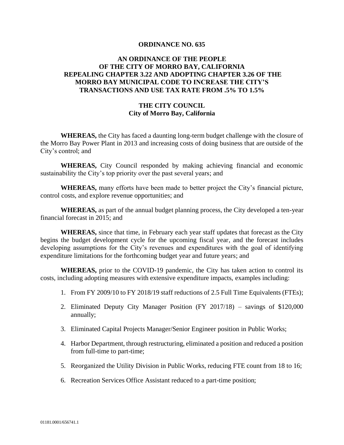#### **ORDINANCE NO. 635**

# **AN ORDINANCE OF THE PEOPLE OF THE CITY OF MORRO BAY, CALIFORNIA REPEALING CHAPTER 3.22 AND ADOPTING CHAPTER 3.26 OF THE MORRO BAY MUNICIPAL CODE TO INCREASE THE CITY'S TRANSACTIONS AND USE TAX RATE FROM .5% TO 1.5%**

### **THE CITY COUNCIL City of Morro Bay, California**

**WHEREAS,** the City has faced a daunting long-term budget challenge with the closure of the Morro Bay Power Plant in 2013 and increasing costs of doing business that are outside of the City's control; and

**WHEREAS,** City Council responded by making achieving financial and economic sustainability the City's top priority over the past several years; and

**WHEREAS,** many efforts have been made to better project the City's financial picture, control costs, and explore revenue opportunities; and

**WHEREAS,** as part of the annual budget planning process, the City developed a ten-year financial forecast in 2015; and

**WHEREAS,** since that time, in February each year staff updates that forecast as the City begins the budget development cycle for the upcoming fiscal year, and the forecast includes developing assumptions for the City's revenues and expenditures with the goal of identifying expenditure limitations for the forthcoming budget year and future years; and

**WHEREAS,** prior to the COVID-19 pandemic, the City has taken action to control its costs, including adopting measures with extensive expenditure impacts, examples including:

- 1. From FY 2009/10 to FY 2018/19 staff reductions of 2.5 Full Time Equivalents (FTEs);
- 2. Eliminated Deputy City Manager Position (FY 2017/18) savings of \$120,000 annually;
- 3. Eliminated Capital Projects Manager/Senior Engineer position in Public Works;
- 4. Harbor Department, through restructuring, eliminated a position and reduced a position from full-time to part-time;
- 5. Reorganized the Utility Division in Public Works, reducing FTE count from 18 to 16;
- 6. Recreation Services Office Assistant reduced to a part-time position;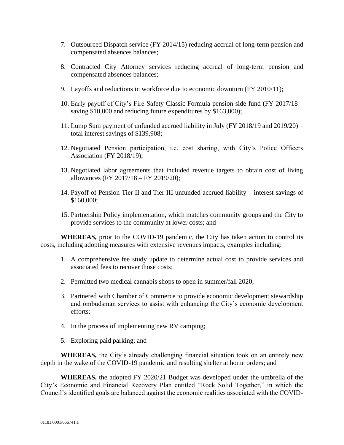- 7. Outsourced Dispatch service (FY 2014/15) reducing accrual of long-term pension and compensated absences balances;
- 8. Contracted City Attorney services reducing accrual of long-term pension and compensated absences balances;
- 9. Layoffs and reductions in workforce due to economic downturn (FY 2010/11);
- 10. Early payoff of City's Fire Safety Classic Formula pension side fund (FY 2017/18 saving \$10,000 and reducing future expenditures by \$163,000);
- 11. Lump Sum payment of unfunded accrued liability in July (FY 2018/19 and 2019/20) total interest savings of \$139,908;
- 12. Negotiated Pension participation, i.e. cost sharing, with City's Police Officers Association (FY 2018/19);
- 13. Negotiated labor agreements that included revenue targets to obtain cost of living allowances (FY 2017/18 – FY 2019/20);
- 14. Payoff of Pension Tier II and Tier III unfunded accrued liability interest savings of \$160,000;
- 15. Partnership Policy implementation, which matches community groups and the City to provide services to the community at lower costs; and

**WHEREAS,** prior to the COVID-19 pandemic, the City has taken action to control its costs, including adopting measures with extensive revenues impacts, examples including:

- 1. A comprehensive fee study update to determine actual cost to provide services and associated fees to recover those costs;
- 2. Permitted two medical cannabis shops to open in summer/fall 2020;
- 3. Partnered with Chamber of Commerce to provide economic development stewardship and ombudsman services to assist with enhancing the City's economic development efforts;
- 4. In the process of implementing new RV camping;
- 5. Exploring paid parking; and

**WHEREAS,** the City's already challenging financial situation took on an entirely new depth in the wake of the COVID-19 pandemic and resulting shelter at home orders; and

**WHEREAS,** the adopted FY 2020/21 Budget was developed under the umbrella of the City's Economic and Financial Recovery Plan entitled "Rock Solid Together," in which the Council's identified goals are balanced against the economic realities associated with the COVID-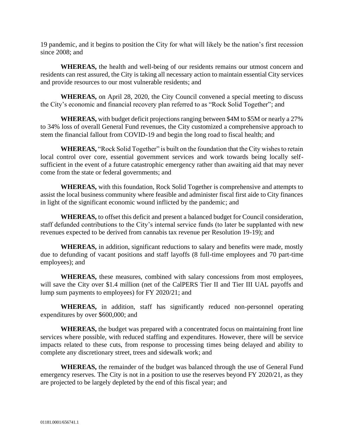19 pandemic, and it begins to position the City for what will likely be the nation's first recession since 2008; and

**WHEREAS,** the health and well-being of our residents remains our utmost concern and residents can rest assured, the City is taking all necessary action to maintain essential City services and provide resources to our most vulnerable residents; and

**WHEREAS,** on April 28, 2020, the City Council convened a special meeting to discuss the City's economic and financial recovery plan referred to as "Rock Solid Together"; and

**WHEREAS,** with budget deficit projections ranging between \$4M to \$5M or nearly a 27% to 34% loss of overall General Fund revenues, the City customized a comprehensive approach to stem the financial fallout from COVID-19 and begin the long road to fiscal health; and

**WHEREAS,** "Rock Solid Together" is built on the foundation that the City wishes to retain local control over core, essential government services and work towards being locally selfsufficient in the event of a future catastrophic emergency rather than awaiting aid that may never come from the state or federal governments; and

**WHEREAS,** with this foundation, Rock Solid Together is comprehensive and attempts to assist the local business community where feasible and administer fiscal first aide to City finances in light of the significant economic wound inflicted by the pandemic; and

**WHEREAS,** to offset this deficit and present a balanced budget for Council consideration, staff defunded contributions to the City's internal service funds (to later be supplanted with new revenues expected to be derived from cannabis tax revenue per Resolution 19-19); and

**WHEREAS,** in addition, significant reductions to salary and benefits were made, mostly due to defunding of vacant positions and staff layoffs (8 full-time employees and 70 part-time employees); and

**WHEREAS,** these measures, combined with salary concessions from most employees, will save the City over \$1.4 million (net of the CalPERS Tier II and Tier III UAL payoffs and lump sum payments to employees) for FY 2020/21; and

**WHEREAS,** in addition, staff has significantly reduced non-personnel operating expenditures by over \$600,000; and

**WHEREAS,** the budget was prepared with a concentrated focus on maintaining front line services where possible, with reduced staffing and expenditures. However, there will be service impacts related to these cuts, from response to processing times being delayed and ability to complete any discretionary street, trees and sidewalk work; and

**WHEREAS,** the remainder of the budget was balanced through the use of General Fund emergency reserves. The City is not in a position to use the reserves beyond FY 2020/21, as they are projected to be largely depleted by the end of this fiscal year; and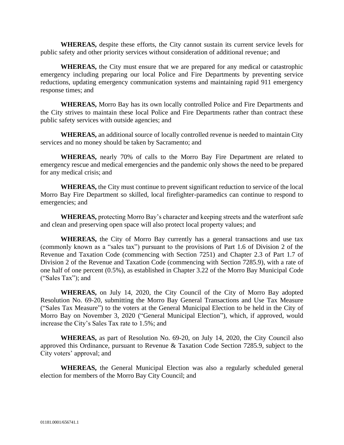**WHEREAS,** despite these efforts, the City cannot sustain its current service levels for public safety and other priority services without consideration of additional revenue; and

**WHEREAS,** the City must ensure that we are prepared for any medical or catastrophic emergency including preparing our local Police and Fire Departments by preventing service reductions, updating emergency communication systems and maintaining rapid 911 emergency response times; and

**WHEREAS,** Morro Bay has its own locally controlled Police and Fire Departments and the City strives to maintain these local Police and Fire Departments rather than contract these public safety services with outside agencies; and

**WHEREAS,** an additional source of locally controlled revenue is needed to maintain City services and no money should be taken by Sacramento; and

**WHEREAS,** nearly 70% of calls to the Morro Bay Fire Department are related to emergency rescue and medical emergencies and the pandemic only shows the need to be prepared for any medical crisis; and

**WHEREAS,** the City must continue to prevent significant reduction to service of the local Morro Bay Fire Department so skilled, local firefighter-paramedics can continue to respond to emergencies; and

**WHEREAS,** protecting Morro Bay's character and keeping streets and the waterfront safe and clean and preserving open space will also protect local property values; and

**WHEREAS,** the City of Morro Bay currently has a general transactions and use tax (commonly known as a "sales tax") pursuant to the provisions of Part 1.6 of Division 2 of the Revenue and Taxation Code (commencing with Section 7251) and Chapter 2.3 of Part 1.7 of Division 2 of the Revenue and Taxation Code (commencing with Section 7285.9), with a rate of one half of one percent (0.5%), as established in Chapter 3.22 of the Morro Bay Municipal Code ("Sales Tax"); and

**WHEREAS,** on July 14, 2020, the City Council of the City of Morro Bay adopted Resolution No. 69-20, submitting the Morro Bay General Transactions and Use Tax Measure ("Sales Tax Measure") to the voters at the General Municipal Election to be held in the City of Morro Bay on November 3, 2020 ("General Municipal Election"), which, if approved, would increase the City's Sales Tax rate to 1.5%; and

**WHEREAS,** as part of Resolution No. 69-20, on July 14, 2020, the City Council also approved this Ordinance, pursuant to Revenue & Taxation Code Section 7285.9, subject to the City voters' approval; and

**WHEREAS,** the General Municipal Election was also a regularly scheduled general election for members of the Morro Bay City Council; and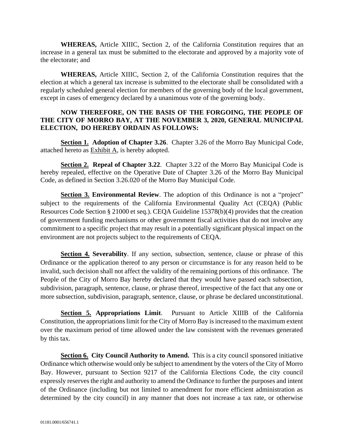**WHEREAS,** Article XIIIC, Section 2, of the California Constitution requires that an increase in a general tax must be submitted to the electorate and approved by a majority vote of the electorate; and

**WHEREAS,** Article XIIIC, Section 2, of the California Constitution requires that the election at which a general tax increase is submitted to the electorate shall be consolidated with a regularly scheduled general election for members of the governing body of the local government, except in cases of emergency declared by a unanimous vote of the governing body.

## **NOW THEREFORE, ON THE BASIS OF THE FORGOING, THE PEOPLE OF THE CITY OF MORRO BAY, AT THE NOVEMBER 3, 2020, GENERAL MUNICIPAL ELECTION, DO HEREBY ORDAIN AS FOLLOWS:**

**Section 1. Adoption of Chapter 3.26**. Chapter 3.26 of the Morro Bay Municipal Code, attached hereto as Exhibit A, is hereby adopted.

**Section 2. Repeal of Chapter 3.22**. Chapter 3.22 of the Morro Bay Municipal Code is hereby repealed, effective on the Operative Date of Chapter 3.26 of the Morro Bay Municipal Code, as defined in Section 3.26.020 of the Morro Bay Municipal Code.

**Section 3. Environmental Review**. The adoption of this Ordinance is not a "project" subject to the requirements of the California Environmental Quality Act (CEQA) (Public Resources Code Section § 21000 et seq.). CEQA Guideline 15378(b)(4) provides that the creation of government funding mechanisms or other government fiscal activities that do not involve any commitment to a specific project that may result in a potentially significant physical impact on the environment are not projects subject to the requirements of CEQA.

**Section 4. Severability**. If any section, subsection, sentence, clause or phrase of this Ordinance or the application thereof to any person or circumstance is for any reason held to be invalid, such decision shall not affect the validity of the remaining portions of this ordinance. The People of the City of Morro Bay hereby declared that they would have passed each subsection, subdivision, paragraph, sentence, clause, or phrase thereof, irrespective of the fact that any one or more subsection, subdivision, paragraph, sentence, clause, or phrase be declared unconstitutional.

**Section 5. Appropriations Limit**. Pursuant to Article XIIIB of the California Constitution, the appropriations limit for the City of Morro Bay is increased to the maximum extent over the maximum period of time allowed under the law consistent with the revenues generated by this tax.

**Section 6. City Council Authority to Amend.** This is a city council sponsored initiative Ordinance which otherwise would only be subject to amendment by the voters of the City of Morro Bay. However, pursuant to Section 9217 of the California Elections Code, the city council expressly reserves the right and authority to amend the Ordinance to further the purposes and intent of the Ordinance (including but not limited to amendment for more efficient administration as determined by the city council) in any manner that does not increase a tax rate, or otherwise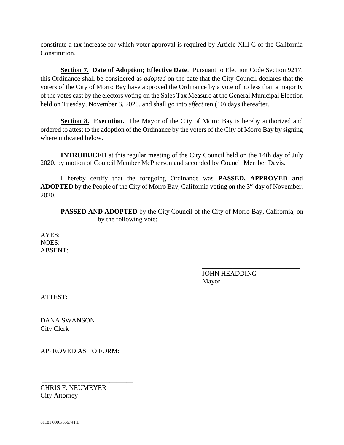constitute a tax increase for which voter approval is required by Article XIII C of the California Constitution.

**Section 7. Date of Adoption; Effective Date**. Pursuant to Election Code Section 9217, this Ordinance shall be considered as *adopted* on the date that the City Council declares that the voters of the City of Morro Bay have approved the Ordinance by a vote of no less than a majority of the votes cast by the electors voting on the Sales Tax Measure at the General Municipal Election held on Tuesday, November 3, 2020, and shall go into *effect* ten (10) days thereafter.

**Section 8. Execution.** The Mayor of the City of Morro Bay is hereby authorized and ordered to attest to the adoption of the Ordinance by the voters of the City of Morro Bay by signing where indicated below.

**INTRODUCED** at this regular meeting of the City Council held on the 14th day of July 2020, by motion of Council Member McPherson and seconded by Council Member Davis.

I hereby certify that the foregoing Ordinance was **PASSED, APPROVED and ADOPTED** by the People of the City of Morro Bay, California voting on the  $3<sup>rd</sup>$  day of November, 2020.

**PASSED AND ADOPTED** by the City Council of the City of Morro Bay, California, on \_\_\_\_\_\_\_\_\_\_\_\_\_\_\_\_ by the following vote:

AYES: NOES: ABSENT:

> JOHN HEADDING Mayor

\_\_\_\_\_\_\_\_\_\_\_\_\_\_\_\_\_\_\_\_\_\_\_\_\_\_\_\_\_

ATTEST:

DANA SWANSON City Clerk

APPROVED AS TO FORM:

\_\_\_\_\_\_\_\_\_\_\_\_\_\_\_\_\_\_\_\_\_\_\_\_\_\_\_

\_\_\_\_\_\_\_\_\_\_\_\_\_\_\_\_\_\_\_\_\_\_\_\_\_\_\_\_\_

CHRIS F. NEUMEYER City Attorney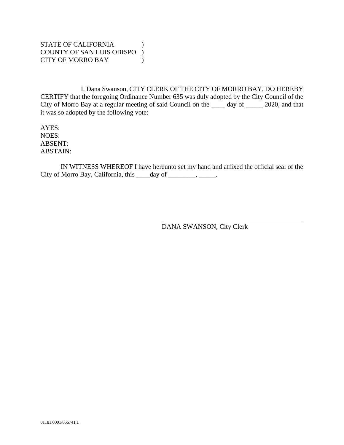# STATE OF CALIFORNIA (1) COUNTY OF SAN LUIS OBISPO ) CITY OF MORRO BAY (1)

I, Dana Swanson, CITY CLERK OF THE CITY OF MORRO BAY, DO HEREBY CERTIFY that the foregoing Ordinance Number 635 was duly adopted by the City Council of the City of Morro Bay at a regular meeting of said Council on the \_\_\_\_ day of \_\_\_\_\_ 2020, and that it was so adopted by the following vote:

AYES: NOES: ABSENT: ABSTAIN:

IN WITNESS WHEREOF I have hereunto set my hand and affixed the official seal of the City of Morro Bay, California, this \_\_\_\_day of \_\_\_\_\_\_\_, \_\_\_\_\_.

DANA SWANSON, City Clerk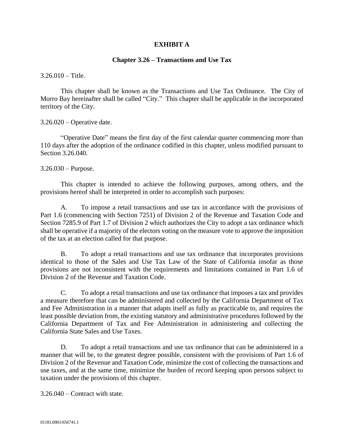## **EXHIBIT A**

### **Chapter 3.26 – Transactions and Use Tax**

 $3.26.010 -$ Title.

This chapter shall be known as the Transactions and Use Tax Ordinance. The City of Morro Bay hereinafter shall be called "City." This chapter shall be applicable in the incorporated territory of the City.

3.26.020 – Operative date.

"Operative Date" means the first day of the first calendar quarter commencing more than 110 days after the adoption of the ordinance codified in this chapter, unless modified pursuant to Section 3.26.040.

3.26.030 – Purpose.

This chapter is intended to achieve the following purposes, among others, and the provisions hereof shall be interpreted in order to accomplish such purposes:

A. To impose a retail transactions and use tax in accordance with the provisions of Part 1.6 (commencing with Section 7251) of Division 2 of the Revenue and Taxation Code and Section 7285.9 of Part 1.7 of Division 2 which authorizes the City to adopt a tax ordinance which shall be operative if a majority of the electors voting on the measure vote to approve the imposition of the tax at an election called for that purpose.

B. To adopt a retail transactions and use tax ordinance that incorporates provisions identical to those of the Sales and Use Tax Law of the State of California insofar as those provisions are not inconsistent with the requirements and limitations contained in Part 1.6 of Division 2 of the Revenue and Taxation Code.

C. To adopt a retail transactions and use tax ordinance that imposes a tax and provides a measure therefore that can be administered and collected by the California Department of Tax and Fee Administration in a manner that adapts itself as fully as practicable to, and requires the least possible deviation from, the existing statutory and administrative procedures followed by the California Department of Tax and Fee Administration in administering and collecting the California State Sales and Use Taxes.

D. To adopt a retail transactions and use tax ordinance that can be administered in a manner that will be, to the greatest degree possible, consistent with the provisions of Part 1.6 of Division 2 of the Revenue and Taxation Code, minimize the cost of collecting the transactions and use taxes, and at the same time, minimize the burden of record keeping upon persons subject to taxation under the provisions of this chapter.

3.26.040 – Contract with state.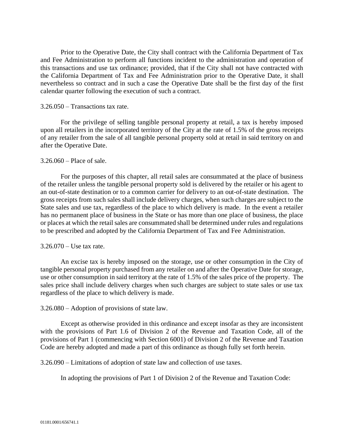Prior to the Operative Date, the City shall contract with the California Department of Tax and Fee Administration to perform all functions incident to the administration and operation of this transactions and use tax ordinance; provided, that if the City shall not have contracted with the California Department of Tax and Fee Administration prior to the Operative Date, it shall nevertheless so contract and in such a case the Operative Date shall be the first day of the first calendar quarter following the execution of such a contract.

### 3.26.050 – Transactions tax rate.

For the privilege of selling tangible personal property at retail, a tax is hereby imposed upon all retailers in the incorporated territory of the City at the rate of 1.5% of the gross receipts of any retailer from the sale of all tangible personal property sold at retail in said territory on and after the Operative Date.

### 3.26.060 – Place of sale.

For the purposes of this chapter, all retail sales are consummated at the place of business of the retailer unless the tangible personal property sold is delivered by the retailer or his agent to an out-of-state destination or to a common carrier for delivery to an out-of-state destination. The gross receipts from such sales shall include delivery charges, when such charges are subject to the State sales and use tax, regardless of the place to which delivery is made. In the event a retailer has no permanent place of business in the State or has more than one place of business, the place or places at which the retail sales are consummated shall be determined under rules and regulations to be prescribed and adopted by the California Department of Tax and Fee Administration.

#### 3.26.070 – Use tax rate.

An excise tax is hereby imposed on the storage, use or other consumption in the City of tangible personal property purchased from any retailer on and after the Operative Date for storage, use or other consumption in said territory at the rate of 1.5% of the sales price of the property. The sales price shall include delivery charges when such charges are subject to state sales or use tax regardless of the place to which delivery is made.

#### 3.26.080 – Adoption of provisions of state law.

Except as otherwise provided in this ordinance and except insofar as they are inconsistent with the provisions of Part 1.6 of Division 2 of the Revenue and Taxation Code, all of the provisions of Part 1 (commencing with Section 6001) of Division 2 of the Revenue and Taxation Code are hereby adopted and made a part of this ordinance as though fully set forth herein.

3.26.090 – Limitations of adoption of state law and collection of use taxes.

In adopting the provisions of Part 1 of Division 2 of the Revenue and Taxation Code: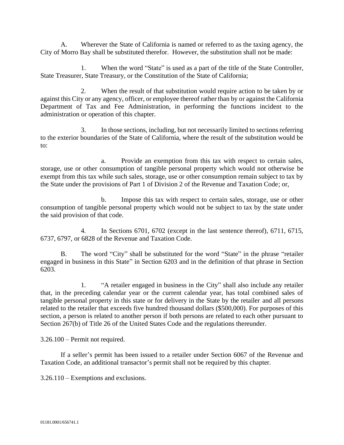A. Wherever the State of California is named or referred to as the taxing agency, the City of Morro Bay shall be substituted therefor. However, the substitution shall not be made:

1. When the word "State" is used as a part of the title of the State Controller, State Treasurer, State Treasury, or the Constitution of the State of California;

2. When the result of that substitution would require action to be taken by or against this City or any agency, officer, or employee thereof rather than by or against the California Department of Tax and Fee Administration, in performing the functions incident to the administration or operation of this chapter.

3. In those sections, including, but not necessarily limited to sections referring to the exterior boundaries of the State of California, where the result of the substitution would be to:

a. Provide an exemption from this tax with respect to certain sales, storage, use or other consumption of tangible personal property which would not otherwise be exempt from this tax while such sales, storage, use or other consumption remain subject to tax by the State under the provisions of Part 1 of Division 2 of the Revenue and Taxation Code; or,

b. Impose this tax with respect to certain sales, storage, use or other consumption of tangible personal property which would not be subject to tax by the state under the said provision of that code.

4. In Sections 6701, 6702 (except in the last sentence thereof), 6711, 6715, 6737, 6797, or 6828 of the Revenue and Taxation Code.

B. The word "City" shall be substituted for the word "State" in the phrase "retailer engaged in business in this State" in Section 6203 and in the definition of that phrase in Section 6203.

1. "A retailer engaged in business in the City" shall also include any retailer that, in the preceding calendar year or the current calendar year, has total combined sales of tangible personal property in this state or for delivery in the State by the retailer and all persons related to the retailer that exceeds five hundred thousand dollars (\$500,000). For purposes of this section, a person is related to another person if both persons are related to each other pursuant to Section 267(b) of Title 26 of the United States Code and the regulations thereunder.

3.26.100 – Permit not required.

If a seller's permit has been issued to a retailer under Section 6067 of the Revenue and Taxation Code, an additional transactor's permit shall not be required by this chapter.

3.26.110 – Exemptions and exclusions.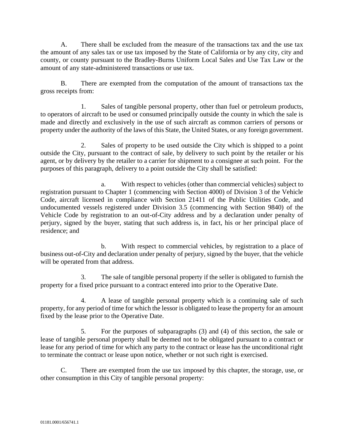A. There shall be excluded from the measure of the transactions tax and the use tax the amount of any sales tax or use tax imposed by the State of California or by any city, city and county, or county pursuant to the Bradley-Burns Uniform Local Sales and Use Tax Law or the amount of any state-administered transactions or use tax.

B. There are exempted from the computation of the amount of transactions tax the gross receipts from:

1. Sales of tangible personal property, other than fuel or petroleum products, to operators of aircraft to be used or consumed principally outside the county in which the sale is made and directly and exclusively in the use of such aircraft as common carriers of persons or property under the authority of the laws of this State, the United States, or any foreign government.

2. Sales of property to be used outside the City which is shipped to a point outside the City, pursuant to the contract of sale, by delivery to such point by the retailer or his agent, or by delivery by the retailer to a carrier for shipment to a consignee at such point. For the purposes of this paragraph, delivery to a point outside the City shall be satisfied:

a. With respect to vehicles (other than commercial vehicles) subject to registration pursuant to Chapter 1 (commencing with Section 4000) of Division 3 of the Vehicle Code, aircraft licensed in compliance with Section 21411 of the Public Utilities Code, and undocumented vessels registered under Division 3.5 (commencing with Section 9840) of the Vehicle Code by registration to an out-of-City address and by a declaration under penalty of perjury, signed by the buyer, stating that such address is, in fact, his or her principal place of residence; and

b. With respect to commercial vehicles, by registration to a place of business out-of-City and declaration under penalty of perjury, signed by the buyer, that the vehicle will be operated from that address.

3. The sale of tangible personal property if the seller is obligated to furnish the property for a fixed price pursuant to a contract entered into prior to the Operative Date.

4. A lease of tangible personal property which is a continuing sale of such property, for any period of time for which the lessor is obligated to lease the property for an amount fixed by the lease prior to the Operative Date.

5. For the purposes of subparagraphs (3) and (4) of this section, the sale or lease of tangible personal property shall be deemed not to be obligated pursuant to a contract or lease for any period of time for which any party to the contract or lease has the unconditional right to terminate the contract or lease upon notice, whether or not such right is exercised.

C. There are exempted from the use tax imposed by this chapter, the storage, use, or other consumption in this City of tangible personal property: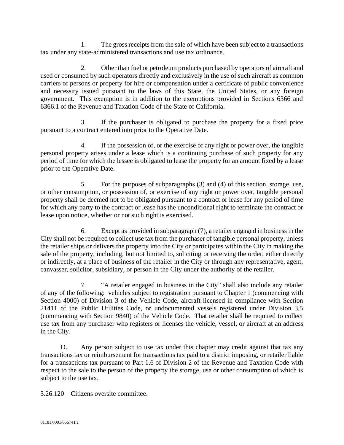1. The gross receipts from the sale of which have been subject to a transactions tax under any state-administered transactions and use tax ordinance.

2. Other than fuel or petroleum products purchased by operators of aircraft and used or consumed by such operators directly and exclusively in the use of such aircraft as common carriers of persons or property for hire or compensation under a certificate of public convenience and necessity issued pursuant to the laws of this State, the United States, or any foreign government. This exemption is in addition to the exemptions provided in Sections 6366 and 6366.1 of the Revenue and Taxation Code of the State of California.

3. If the purchaser is obligated to purchase the property for a fixed price pursuant to a contract entered into prior to the Operative Date.

4. If the possession of, or the exercise of any right or power over, the tangible personal property arises under a lease which is a continuing purchase of such property for any period of time for which the lessee is obligated to lease the property for an amount fixed by a lease prior to the Operative Date.

5. For the purposes of subparagraphs (3) and (4) of this section, storage, use, or other consumption, or possession of, or exercise of any right or power over, tangible personal property shall be deemed not to be obligated pursuant to a contract or lease for any period of time for which any party to the contract or lease has the unconditional right to terminate the contract or lease upon notice, whether or not such right is exercised.

6. Except as provided in subparagraph (7), a retailer engaged in business in the City shall not be required to collect use tax from the purchaser of tangible personal property, unless the retailer ships or delivers the property into the City or participates within the City in making the sale of the property, including, but not limited to, soliciting or receiving the order, either directly or indirectly, at a place of business of the retailer in the City or through any representative, agent, canvasser, solicitor, subsidiary, or person in the City under the authority of the retailer.

7. "A retailer engaged in business in the City" shall also include any retailer of any of the following: vehicles subject to registration pursuant to Chapter 1 (commencing with Section 4000) of Division 3 of the Vehicle Code, aircraft licensed in compliance with Section 21411 of the Public Utilities Code, or undocumented vessels registered under Division 3.5 (commencing with Section 9840) of the Vehicle Code. That retailer shall be required to collect use tax from any purchaser who registers or licenses the vehicle, vessel, or aircraft at an address in the City.

D. Any person subject to use tax under this chapter may credit against that tax any transactions tax or reimbursement for transactions tax paid to a district imposing, or retailer liable for a transactions tax pursuant to Part 1.6 of Division 2 of the Revenue and Taxation Code with respect to the sale to the person of the property the storage, use or other consumption of which is subject to the use tax.

3.26.120 – Citizens oversite committee.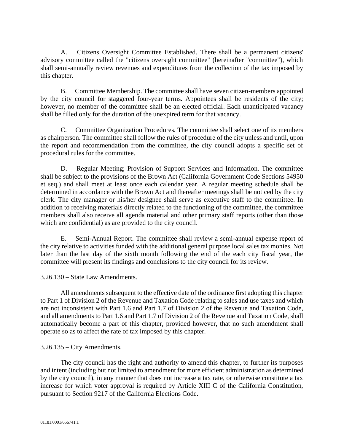A. Citizens Oversight Committee Established. There shall be a permanent citizens' advisory committee called the "citizens oversight committee" (hereinafter "committee"), which shall semi-annually review revenues and expenditures from the collection of the tax imposed by this chapter.

B. Committee Membership. The committee shall have seven citizen-members appointed by the city council for staggered four-year terms. Appointees shall be residents of the city; however, no member of the committee shall be an elected official. Each unanticipated vacancy shall be filled only for the duration of the unexpired term for that vacancy.

C. Committee Organization Procedures. The committee shall select one of its members as chairperson. The committee shall follow the rules of procedure of the city unless and until, upon the report and recommendation from the committee, the city council adopts a specific set of procedural rules for the committee.

D. Regular Meeting; Provision of Support Services and Information. The committee shall be subject to the provisions of the Brown Act (California Government Code Sections 54950 et seq.) and shall meet at least once each calendar year. A regular meeting schedule shall be determined in accordance with the Brown Act and thereafter meetings shall be noticed by the city clerk. The city manager or his/her designee shall serve as executive staff to the committee. In addition to receiving materials directly related to the functioning of the committee, the committee members shall also receive all agenda material and other primary staff reports (other than those which are confidential) as are provided to the city council.

E. Semi-Annual Report. The committee shall review a semi-annual expense report of the city relative to activities funded with the additional general purpose local sales tax monies. Not later than the last day of the sixth month following the end of the each city fiscal year, the committee will present its findings and conclusions to the city council for its review.

3.26.130 – State Law Amendments.

All amendments subsequent to the effective date of the ordinance first adopting this chapter to Part 1 of Division 2 of the Revenue and Taxation Code relating to sales and use taxes and which are not inconsistent with Part 1.6 and Part 1.7 of Division 2 of the Revenue and Taxation Code, and all amendments to Part 1.6 and Part 1.7 of Division 2 of the Revenue and Taxation Code, shall automatically become a part of this chapter, provided however, that no such amendment shall operate so as to affect the rate of tax imposed by this chapter.

# 3.26.135 – City Amendments.

The city council has the right and authority to amend this chapter, to further its purposes and intent (including but not limited to amendment for more efficient administration as determined by the city council), in any manner that does not increase a tax rate, or otherwise constitute a tax increase for which voter approval is required by Article XIII C of the California Constitution, pursuant to Section 9217 of the California Elections Code.